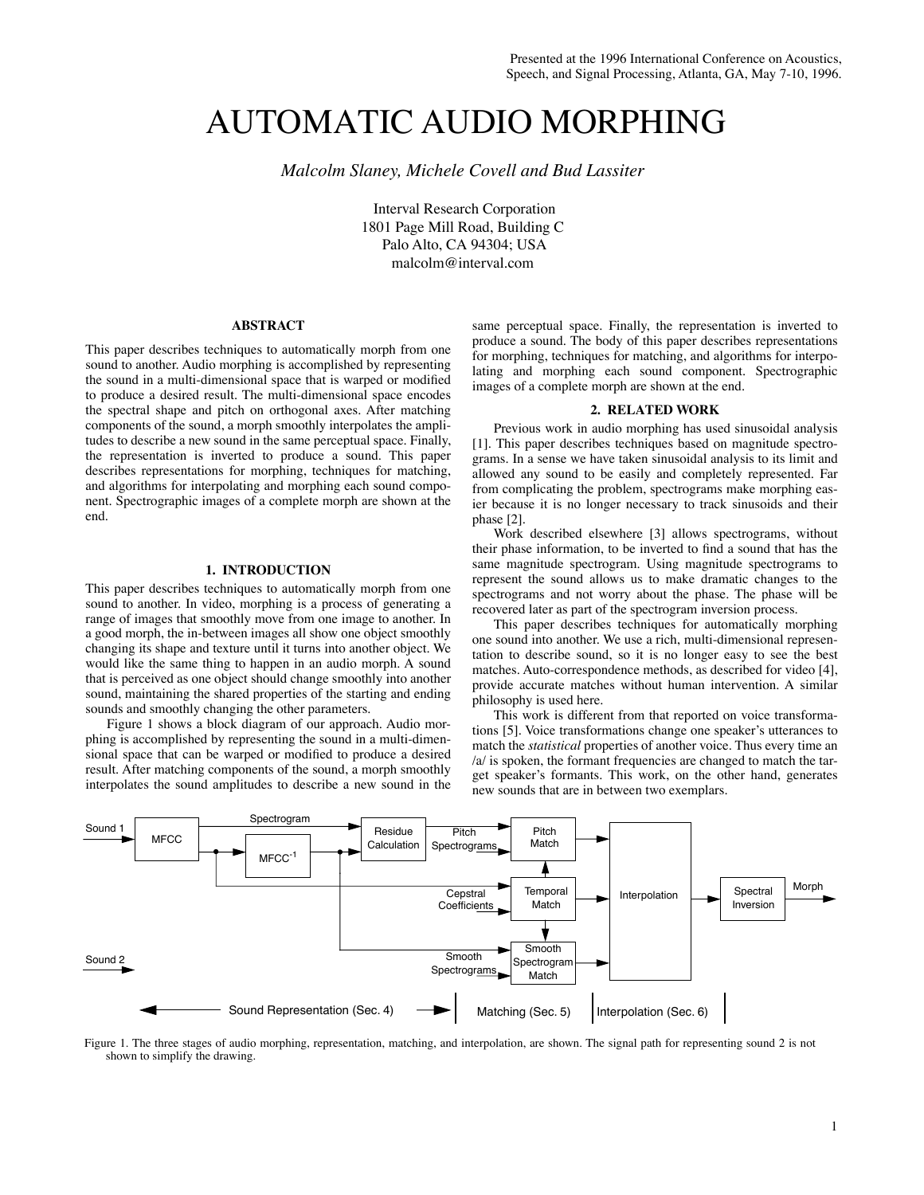# AUTOMATIC AUDIO MORPHING

*Malcolm Slaney, Michele Covell and Bud Lassiter*

 Interval Research Corporation 1801 Page Mill Road, Building C Palo Alto, CA 94304; USA malcolm@interval.com

# **ABSTRACT**

This paper describes techniques to automatically morph from one sound to another. Audio morphing is accomplished by representing the sound in a multi-dimensional space that is warped or modified to produce a desired result. The multi-dimensional space encodes the spectral shape and pitch on orthogonal axes. After matching components of the sound, a morph smoothly interpolates the amplitudes to describe a new sound in the same perceptual space. Finally, the representation is inverted to produce a sound. This paper describes representations for morphing, techniques for matching, and algorithms for interpolating and morphing each sound component. Spectrographic images of a complete morph are shown at the end.

# **1. INTRODUCTION**

This paper describes techniques to automatically morph from one sound to another. In video, morphing is a process of generating a range of images that smoothly move from one image to another. In a good morph, the in-between images all show one object smoothly changing its shape and texture until it turns into another object. We would like the same thing to happen in an audio morph. A sound that is perceived as one object should change smoothly into another sound, maintaining the shared properties of the starting and ending sounds and smoothly changing the other parameters.

Figure 1 shows a block diagram of our approach. Audio morphing is accomplished by representing the sound in a multi-dimensional space that can be warped or modified to produce a desired result. After matching components of the sound, a morph smoothly interpolates the sound amplitudes to describe a new sound in the

same perceptual space. Finally, the representation is inverted to produce a sound. The body of this paper describes representations for morphing, techniques for matching, and algorithms for interpolating and morphing each sound component. Spectrographic images of a complete morph are shown at the end.

# **2. RELATED WORK**

Previous work in audio morphing has used sinusoidal analysis [1]. This paper describes techniques based on magnitude spectrograms. In a sense we have taken sinusoidal analysis to its limit and allowed any sound to be easily and completely represented. Far from complicating the problem, spectrograms make morphing easier because it is no longer necessary to track sinusoids and their phase [2].

Work described elsewhere [3] allows spectrograms, without their phase information, to be inverted to find a sound that has the same magnitude spectrogram. Using magnitude spectrograms to represent the sound allows us to make dramatic changes to the spectrograms and not worry about the phase. The phase will be recovered later as part of the spectrogram inversion process.

This paper describes techniques for automatically morphing one sound into another. We use a rich, multi-dimensional representation to describe sound, so it is no longer easy to see the best matches. Auto-correspondence methods, as described for video [4], provide accurate matches without human intervention. A similar philosophy is used here.

This work is different from that reported on voice transformations [5]. Voice transformations change one speaker's utterances to match the *statistical* properties of another voice. Thus every time an /a/ is spoken, the formant frequencies are changed to match the target speaker's formants. This work, on the other hand, generates new sounds that are in between two exemplars.



Figure 1. The three stages of audio morphing, representation, matching, and interpolation, are shown. The signal path for representing sound 2 is not shown to simplify the drawing.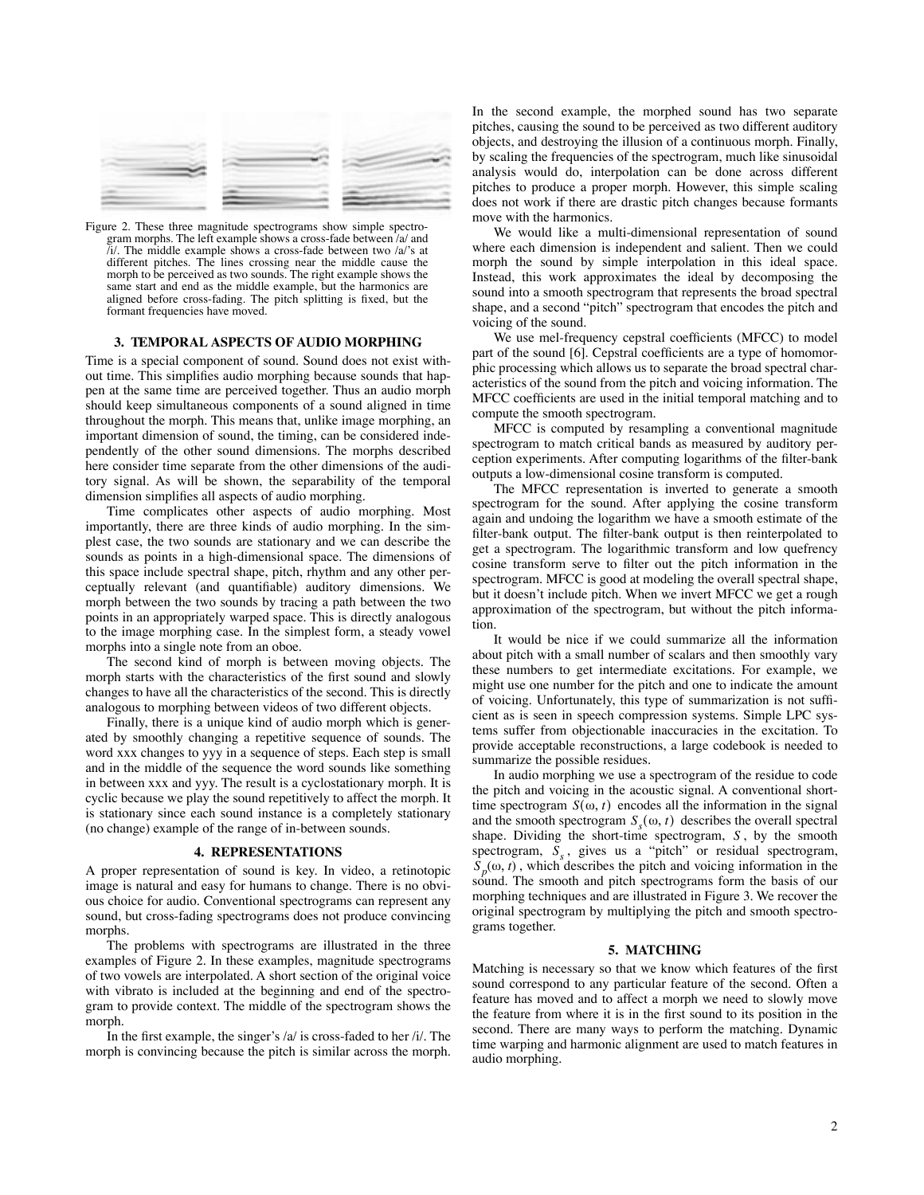

Figure 2. These three magnitude spectrograms show simple spectrogram morphs. The left example shows a cross-fade between /a/ and  $\tilde{di}$ . The middle example shows a cross-fade between two  $\alpha$ 's at different pitches. The lines crossing near the middle cause the morph to be perceived as two sounds. The right example shows the same start and end as the middle example, but the harmonics are aligned before cross-fading. The pitch splitting is fixed, but the formant frequencies have moved.

# **3. TEMPORAL ASPECTS OF AUDIO MORPHING**

Time is a special component of sound. Sound does not exist without time. This simplifies audio morphing because sounds that happen at the same time are perceived together. Thus an audio morph should keep simultaneous components of a sound aligned in time throughout the morph. This means that, unlike image morphing, an important dimension of sound, the timing, can be considered independently of the other sound dimensions. The morphs described here consider time separate from the other dimensions of the auditory signal. As will be shown, the separability of the temporal dimension simplifies all aspects of audio morphing.

Time complicates other aspects of audio morphing. Most importantly, there are three kinds of audio morphing. In the simplest case, the two sounds are stationary and we can describe the sounds as points in a high-dimensional space. The dimensions of this space include spectral shape, pitch, rhythm and any other perceptually relevant (and quantifiable) auditory dimensions. We morph between the two sounds by tracing a path between the two points in an appropriately warped space. This is directly analogous to the image morphing case. In the simplest form, a steady vowel morphs into a single note from an oboe.

The second kind of morph is between moving objects. The morph starts with the characteristics of the first sound and slowly changes to have all the characteristics of the second. This is directly analogous to morphing between videos of two different objects.

Finally, there is a unique kind of audio morph which is generated by smoothly changing a repetitive sequence of sounds. The word xxx changes to yyy in a sequence of steps. Each step is small and in the middle of the sequence the word sounds like something in between xxx and yyy. The result is a cyclostationary morph. It is cyclic because we play the sound repetitively to affect the morph. It is stationary since each sound instance is a completely stationary (no change) example of the range of in-between sounds.

## **4. REPRESENTATIONS**

A proper representation of sound is key. In video, a retinotopic image is natural and easy for humans to change. There is no obvious choice for audio. Conventional spectrograms can represent any sound, but cross-fading spectrograms does not produce convincing morphs.

The problems with spectrograms are illustrated in the three examples of Figure 2. In these examples, magnitude spectrograms of two vowels are interpolated. A short section of the original voice with vibrato is included at the beginning and end of the spectrogram to provide context. The middle of the spectrogram shows the morph.

In the first example, the singer's /a/ is cross-faded to her /i/. The morph is convincing because the pitch is similar across the morph.

In the second example, the morphed sound has two separate pitches, causing the sound to be perceived as two different auditory objects, and destroying the illusion of a continuous morph. Finally, by scaling the frequencies of the spectrogram, much like sinusoidal analysis would do, interpolation can be done across different pitches to produce a proper morph. However, this simple scaling does not work if there are drastic pitch changes because formants move with the harmonics.

We would like a multi-dimensional representation of sound where each dimension is independent and salient. Then we could morph the sound by simple interpolation in this ideal space. Instead, this work approximates the ideal by decomposing the sound into a smooth spectrogram that represents the broad spectral shape, and a second "pitch" spectrogram that encodes the pitch and voicing of the sound.

We use mel-frequency cepstral coefficients (MFCC) to model part of the sound [6]. Cepstral coefficients are a type of homomorphic processing which allows us to separate the broad spectral characteristics of the sound from the pitch and voicing information. The MFCC coefficients are used in the initial temporal matching and to compute the smooth spectrogram.

MFCC is computed by resampling a conventional magnitude spectrogram to match critical bands as measured by auditory perception experiments. After computing logarithms of the filter-bank outputs a low-dimensional cosine transform is computed.

The MFCC representation is inverted to generate a smooth spectrogram for the sound. After applying the cosine transform again and undoing the logarithm we have a smooth estimate of the filter-bank output. The filter-bank output is then reinterpolated to get a spectrogram. The logarithmic transform and low quefrency cosine transform serve to filter out the pitch information in the spectrogram. MFCC is good at modeling the overall spectral shape, but it doesn't include pitch. When we invert MFCC we get a rough approximation of the spectrogram, but without the pitch information.

It would be nice if we could summarize all the information about pitch with a small number of scalars and then smoothly vary these numbers to get intermediate excitations. For example, we might use one number for the pitch and one to indicate the amount of voicing. Unfortunately, this type of summarization is not sufficient as is seen in speech compression systems. Simple LPC systems suffer from objectionable inaccuracies in the excitation. To provide acceptable reconstructions, a large codebook is needed to summarize the possible residues.

In audio morphing we use a spectrogram of the residue to code the pitch and voicing in the acoustic signal. A conventional shorttime spectrogram  $S(\omega, t)$  encodes all the information in the signal and the smooth spectrogram  $S_s(\omega, t)$  describes the overall spectral shape. Dividing the short-time spectrogram,  $S$ , by the smooth spectrogram,  $S_s$ , gives us a "pitch" or residual spectrogram, ram,  $S_s$ , gives us a "pitch" or residual spectrogram,<br>, which describes the pitch and voicing information in the sound. The smooth and pitch spectrograms form the basis of our morphing techniques and are illustrated in Figure 3. We recover the original spectrogram by multiplying the pitch and smooth spectrograms together.  $S_p(\omega, t)$ 

#### **5. MATCHING**

Matching is necessary so that we know which features of the first sound correspond to any particular feature of the second. Often a feature has moved and to affect a morph we need to slowly move the feature from where it is in the first sound to its position in the second. There are many ways to perform the matching. Dynamic time warping and harmonic alignment are used to match features in audio morphing.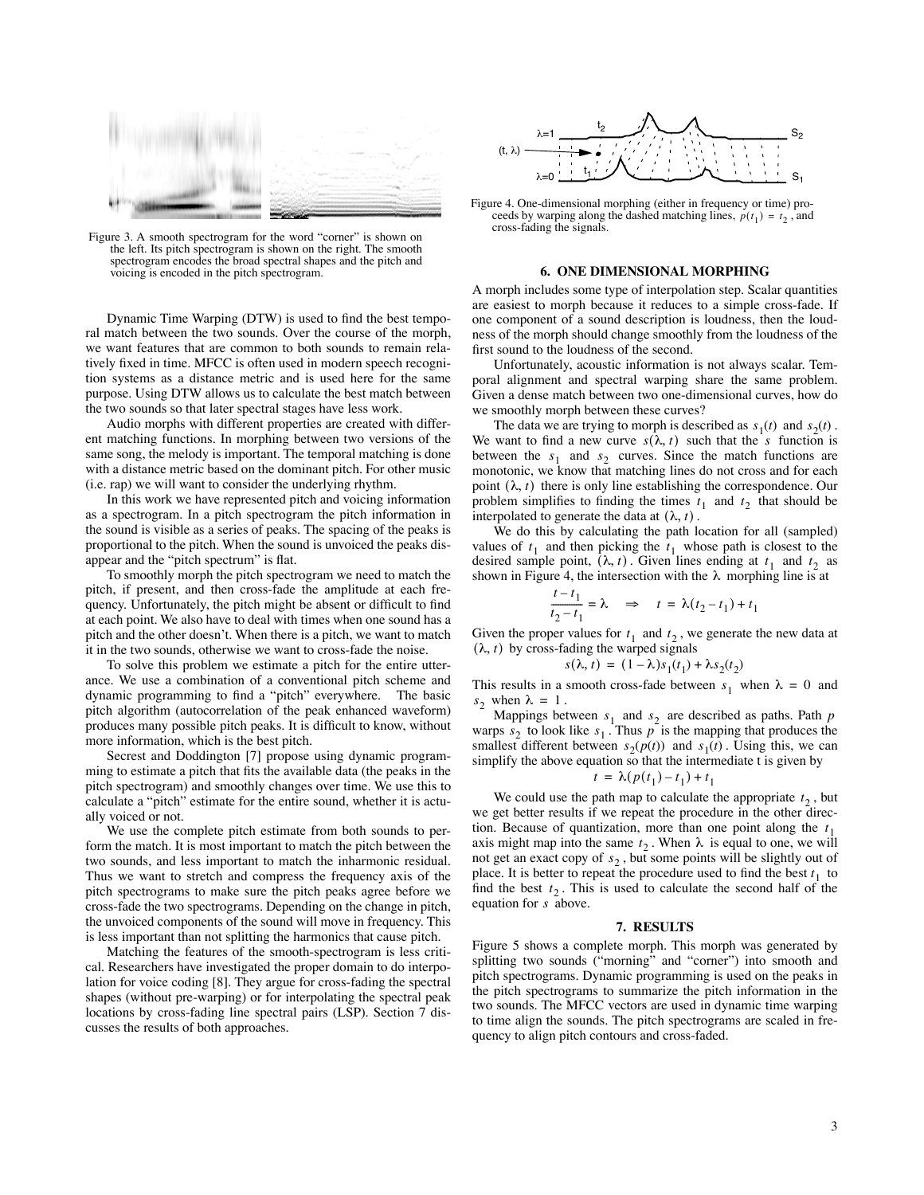

Figure 3. A smooth spectrogram for the word "corner" is shown on the left. Its pitch spectrogram is shown on the right. The smooth spectrogram encodes the broad spectral shapes and the pitch and voicing is encoded in the pitch spectrogram.

Dynamic Time Warping (DTW) is used to find the best temporal match between the two sounds. Over the course of the morph, we want features that are common to both sounds to remain relatively fixed in time. MFCC is often used in modern speech recognition systems as a distance metric and is used here for the same purpose. Using DTW allows us to calculate the best match between the two sounds so that later spectral stages have less work.

Audio morphs with different properties are created with different matching functions. In morphing between two versions of the same song, the melody is important. The temporal matching is done with a distance metric based on the dominant pitch. For other music (i.e. rap) we will want to consider the underlying rhythm.

In this work we have represented pitch and voicing information as a spectrogram. In a pitch spectrogram the pitch information in the sound is visible as a series of peaks. The spacing of the peaks is proportional to the pitch. When the sound is unvoiced the peaks disappear and the "pitch spectrum" is flat.

To smoothly morph the pitch spectrogram we need to match the pitch, if present, and then cross-fade the amplitude at each frequency. Unfortunately, the pitch might be absent or difficult to find at each point. We also have to deal with times when one sound has a pitch and the other doesn't. When there is a pitch, we want to match it in the two sounds, otherwise we want to cross-fade the noise.

To solve this problem we estimate a pitch for the entire utterance. We use a combination of a conventional pitch scheme and dynamic programming to find a "pitch" everywhere. The basic pitch algorithm (autocorrelation of the peak enhanced waveform) produces many possible pitch peaks. It is difficult to know, without more information, which is the best pitch.

Secrest and Doddington [7] propose using dynamic programming to estimate a pitch that fits the available data (the peaks in the pitch spectrogram) and smoothly changes over time. We use this to calculate a "pitch" estimate for the entire sound, whether it is actually voiced or not.

We use the complete pitch estimate from both sounds to perform the match. It is most important to match the pitch between the two sounds, and less important to match the inharmonic residual. Thus we want to stretch and compress the frequency axis of the pitch spectrograms to make sure the pitch peaks agree before we cross-fade the two spectrograms. Depending on the change in pitch, the unvoiced components of the sound will move in frequency. This is less important than not splitting the harmonics that cause pitch.

Matching the features of the smooth-spectrogram is less critical. Researchers have investigated the proper domain to do interpolation for voice coding [8]. They argue for cross-fading the spectral shapes (without pre-warping) or for interpolating the spectral peak locations by cross-fading line spectral pairs (LSP). Section 7 discusses the results of both approaches.



Figure 4. One-dimensional morphing (either in frequency or time) proceeds by warping along the dashed matching lines,  $p(t_1) = t_2$ , and cross-fading the signals.

# **6. ONE DIMENSIONAL MORPHING**

A morph includes some type of interpolation step. Scalar quantities are easiest to morph because it reduces to a simple cross-fade. If one component of a sound description is loudness, then the loudness of the morph should change smoothly from the loudness of the first sound to the loudness of the second.

Unfortunately, acoustic information is not always scalar. Temporal alignment and spectral warping share the same problem. Given a dense match between two one-dimensional curves, how do we smoothly morph between these curves?

The data we are trying to morph is described as  $s_1(t)$  and  $s_2(t)$ . We want to find a new curve  $s(\lambda, t)$  such that the *s* function is between the  $s_1$  and  $s_2$  curves. Since the match functions are monotonic, we know that matching lines do not cross and for each point  $(\lambda, t)$  there is only line establishing the correspondence. Our problem simplifies to finding the times  $t_1$  and  $t_2$  that should be interpolated to generate the data at  $(\lambda, t)$ .

We do this by calculating the path location for all (sampled) values of  $t_1$  and then picking the  $t_1$  whose path is closest to the desired sample point,  $(\lambda, t)$ . Given lines ending at  $t_1$  and  $t_2$  as shown in Figure 4, the intersection with the  $\lambda$  morphing line is at

$$
\frac{t - t_1}{t_2 - t_1} = \lambda \quad \Rightarrow \quad t = \lambda(t_2 - t_1) + t_1
$$

Given the proper values for  $t_1$  and  $t_2$ , we generate the new data at  $(\lambda, t)$  by cross-fading the warped signals

$$
s(\lambda, t) = (1 - \lambda)s_1(t_1) + \lambda s_2(t_2)
$$

This results in a smooth cross-fade between  $s_1$  when  $\lambda = 0$  and  $s_2$  when  $\lambda = 1$ .

Mappings between  $s_1$  and  $s_2$  are described as paths. Path Mappings between  $s_1$  and  $s_2$  are described as paths. Path p warps  $s_2$  to look like  $s_1$ . Thus p is the mapping that produces the smallest different between  $s_2(p(t))$  and  $s_1(t)$ . Using this, we can simplify the above equation so that the intermediate t is given by  $s_2$  to look like  $s_1$ . Thus *p* 

$$
t = \lambda(p(t_1) - t_1) + t_1
$$

We could use the path map to calculate the appropriate  $t_2$ , but we get better results if we repeat the procedure in the other direction. Because of quantization, more than one point along the  $t_1$ axis might map into the same  $t_2$ . When  $\lambda$  is equal to one, we will not get an exact copy of  $s_2$ , but some points will be slightly out of place. It is better to repeat the procedure used to find the best  $t_1$  to find the best  $t_2$ . This is used to calculate the second half of the equation for *s* above.

#### **7. RESULTS**

Figure 5 shows a complete morph. This morph was generated by splitting two sounds ("morning" and "corner") into smooth and pitch spectrograms. Dynamic programming is used on the peaks in the pitch spectrograms to summarize the pitch information in the two sounds. The MFCC vectors are used in dynamic time warping to time align the sounds. The pitch spectrograms are scaled in frequency to align pitch contours and cross-faded.